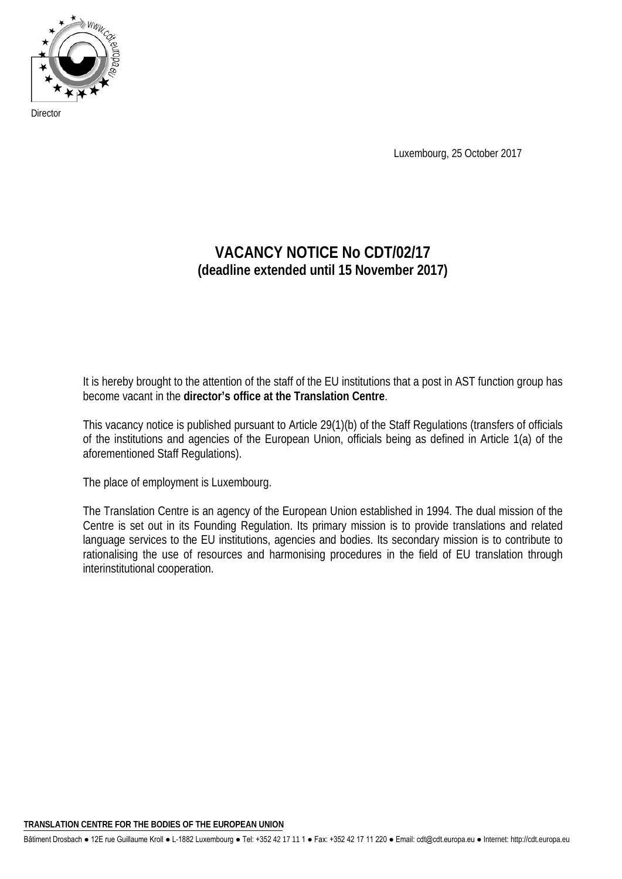

**Director** 

Luxembourg, 25 October 2017

# **VACANCY NOTICE No CDT/02/17 (deadline extended until 15 November 2017)**

It is hereby brought to the attention of the staff of the EU institutions that a post in AST function group has become vacant in the **director's office at the Translation Centre**.

This vacancy notice is published pursuant to Article 29(1)(b) of the Staff Regulations (transfers of officials of the institutions and agencies of the European Union, officials being as defined in Article 1(a) of the aforementioned Staff Regulations).

The place of employment is Luxembourg.

The Translation Centre is an agency of the European Union established in 1994. The dual mission of the Centre is set out in its Founding Regulation. Its primary mission is to provide translations and related language services to the EU institutions, agencies and bodies. Its secondary mission is to contribute to rationalising the use of resources and harmonising procedures in the field of EU translation through interinstitutional cooperation.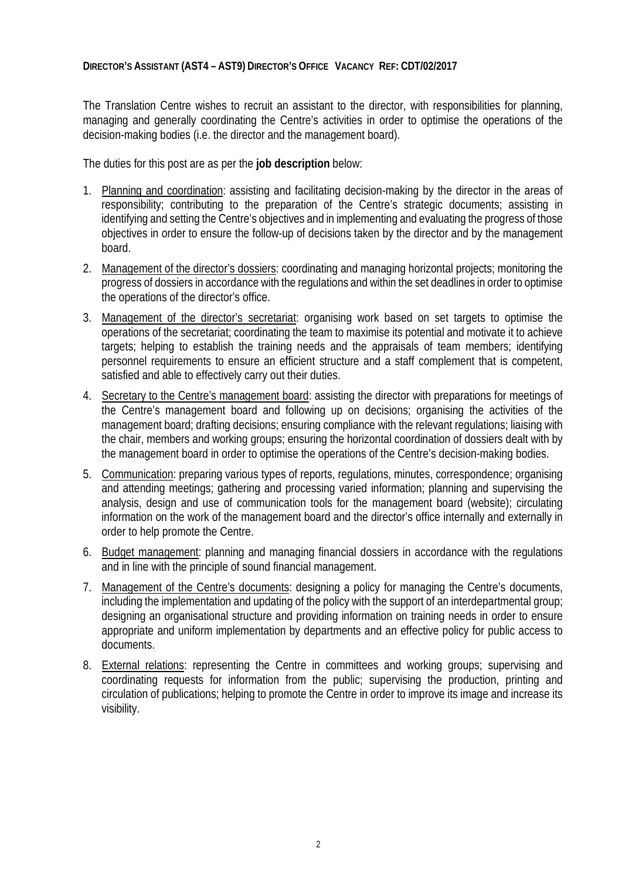#### **DIRECTOR'S ASSISTANT (AST4 – AST9) DIRECTOR'S OFFICE VACANCY REF: CDT/02/2017**

The Translation Centre wishes to recruit an assistant to the director, with responsibilities for planning, managing and generally coordinating the Centre's activities in order to optimise the operations of the decision-making bodies (i.e. the director and the management board).

The duties for this post are as per the **job description** below:

- 1. Planning and coordination: assisting and facilitating decision-making by the director in the areas of responsibility; contributing to the preparation of the Centre's strategic documents; assisting in identifying and setting the Centre's objectives and in implementing and evaluating the progress of those objectives in order to ensure the follow-up of decisions taken by the director and by the management board.
- 2. Management of the director's dossiers: coordinating and managing horizontal projects; monitoring the progress of dossiers in accordance with the regulations and within the set deadlines in order to optimise the operations of the director's office.
- 3. Management of the director's secretariat: organising work based on set targets to optimise the operations of the secretariat; coordinating the team to maximise its potential and motivate it to achieve targets; helping to establish the training needs and the appraisals of team members; identifying personnel requirements to ensure an efficient structure and a staff complement that is competent, satisfied and able to effectively carry out their duties.
- 4. Secretary to the Centre's management board: assisting the director with preparations for meetings of the Centre's management board and following up on decisions; organising the activities of the management board; drafting decisions; ensuring compliance with the relevant regulations; liaising with the chair, members and working groups; ensuring the horizontal coordination of dossiers dealt with by the management board in order to optimise the operations of the Centre's decision-making bodies.
- 5. Communication: preparing various types of reports, regulations, minutes, correspondence; organising and attending meetings; gathering and processing varied information; planning and supervising the analysis, design and use of communication tools for the management board (website); circulating information on the work of the management board and the director's office internally and externally in order to help promote the Centre.
- 6. Budget management: planning and managing financial dossiers in accordance with the regulations and in line with the principle of sound financial management.
- 7. Management of the Centre's documents: designing a policy for managing the Centre's documents, including the implementation and updating of the policy with the support of an interdepartmental group; designing an organisational structure and providing information on training needs in order to ensure appropriate and uniform implementation by departments and an effective policy for public access to documents.
- 8. External relations: representing the Centre in committees and working groups; supervising and coordinating requests for information from the public; supervising the production, printing and circulation of publications; helping to promote the Centre in order to improve its image and increase its visibility.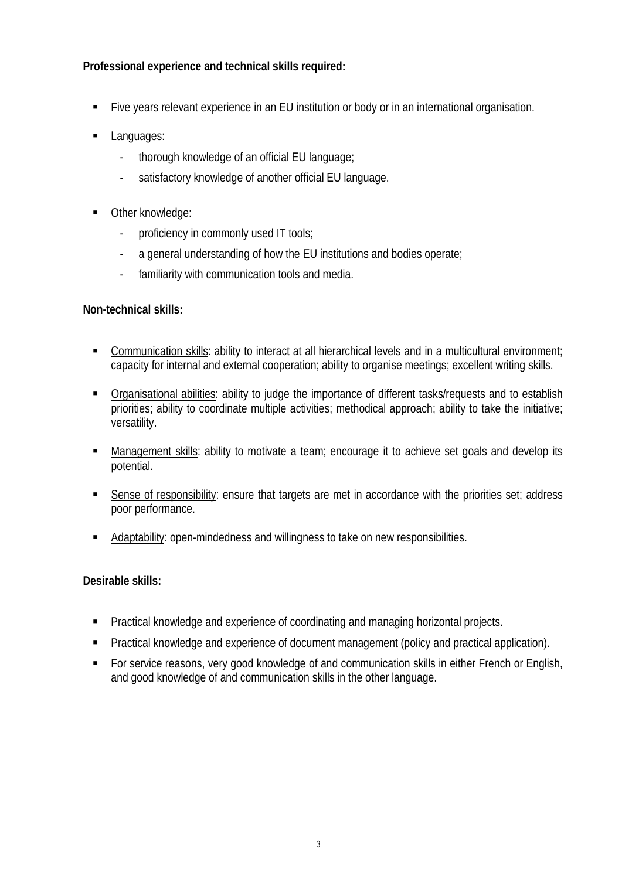## **Professional experience and technical skills required:**

- Five years relevant experience in an EU institution or body or in an international organisation.
- Languages:
	- thorough knowledge of an official EU language;
	- satisfactory knowledge of another official EU language.
- Other knowledge:
	- proficiency in commonly used IT tools;
	- a general understanding of how the EU institutions and bodies operate;
	- familiarity with communication tools and media.

## **Non-technical skills:**

- Communication skills: ability to interact at all hierarchical levels and in a multicultural environment; capacity for internal and external cooperation; ability to organise meetings; excellent writing skills.
- Organisational abilities: ability to judge the importance of different tasks/requests and to establish priorities; ability to coordinate multiple activities; methodical approach; ability to take the initiative; versatility.
- Management skills: ability to motivate a team; encourage it to achieve set goals and develop its potential.
- Sense of responsibility: ensure that targets are met in accordance with the priorities set; address poor performance.
- Adaptability: open-mindedness and willingness to take on new responsibilities.

## **Desirable skills:**

- **•** Practical knowledge and experience of coordinating and managing horizontal projects.
- **Practical knowledge and experience of document management (policy and practical application).**
- For service reasons, very good knowledge of and communication skills in either French or English, and good knowledge of and communication skills in the other language.